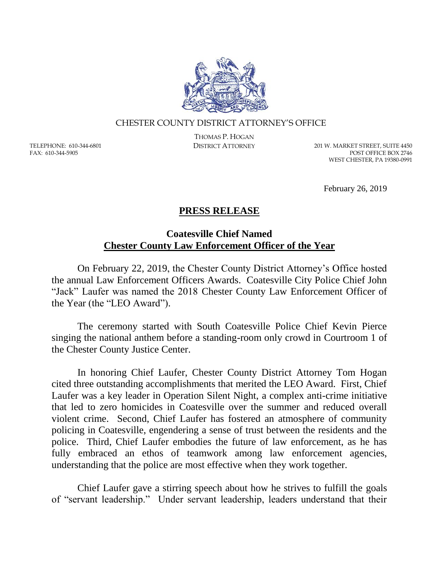

## CHESTER COUNTY DISTRICT ATTORNEY'S OFFICE

TELEPHONE: 610-344-6801 FAX: 610-344-5905

THOMAS P. HOGAN

DISTRICT ATTORNEY 201 W. MARKET STREET, SUITE 4450 POST OFFICE BOX 2746 WEST CHESTER, PA 19380-0991

February 26, 2019

## **PRESS RELEASE**

## **Coatesville Chief Named Chester County Law Enforcement Officer of the Year**

On February 22, 2019, the Chester County District Attorney's Office hosted the annual Law Enforcement Officers Awards. Coatesville City Police Chief John "Jack" Laufer was named the 2018 Chester County Law Enforcement Officer of the Year (the "LEO Award").

The ceremony started with South Coatesville Police Chief Kevin Pierce singing the national anthem before a standing-room only crowd in Courtroom 1 of the Chester County Justice Center.

In honoring Chief Laufer, Chester County District Attorney Tom Hogan cited three outstanding accomplishments that merited the LEO Award. First, Chief Laufer was a key leader in Operation Silent Night, a complex anti-crime initiative that led to zero homicides in Coatesville over the summer and reduced overall violent crime. Second, Chief Laufer has fostered an atmosphere of community policing in Coatesville, engendering a sense of trust between the residents and the police. Third, Chief Laufer embodies the future of law enforcement, as he has fully embraced an ethos of teamwork among law enforcement agencies, understanding that the police are most effective when they work together.

Chief Laufer gave a stirring speech about how he strives to fulfill the goals of "servant leadership." Under servant leadership, leaders understand that their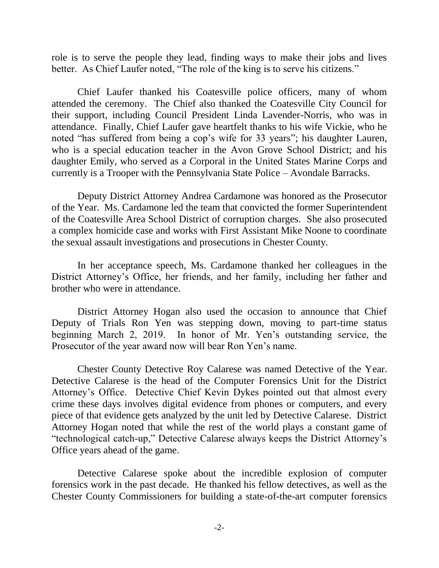role is to serve the people they lead, finding ways to make their jobs and lives better. As Chief Laufer noted, "The role of the king is to serve his citizens."

Chief Laufer thanked his Coatesville police officers, many of whom attended the ceremony. The Chief also thanked the Coatesville City Council for their support, including Council President Linda Lavender-Norris, who was in attendance. Finally, Chief Laufer gave heartfelt thanks to his wife Vickie, who he noted "has suffered from being a cop's wife for 33 years"; his daughter Lauren, who is a special education teacher in the Avon Grove School District; and his daughter Emily, who served as a Corporal in the United States Marine Corps and currently is a Trooper with the Pennsylvania State Police – Avondale Barracks.

Deputy District Attorney Andrea Cardamone was honored as the Prosecutor of the Year. Ms. Cardamone led the team that convicted the former Superintendent of the Coatesville Area School District of corruption charges. She also prosecuted a complex homicide case and works with First Assistant Mike Noone to coordinate the sexual assault investigations and prosecutions in Chester County.

In her acceptance speech, Ms. Cardamone thanked her colleagues in the District Attorney's Office, her friends, and her family, including her father and brother who were in attendance.

District Attorney Hogan also used the occasion to announce that Chief Deputy of Trials Ron Yen was stepping down, moving to part-time status beginning March 2, 2019. In honor of Mr. Yen's outstanding service, the Prosecutor of the year award now will bear Ron Yen's name.

Chester County Detective Roy Calarese was named Detective of the Year. Detective Calarese is the head of the Computer Forensics Unit for the District Attorney's Office. Detective Chief Kevin Dykes pointed out that almost every crime these days involves digital evidence from phones or computers, and every piece of that evidence gets analyzed by the unit led by Detective Calarese. District Attorney Hogan noted that while the rest of the world plays a constant game of "technological catch-up," Detective Calarese always keeps the District Attorney's Office years ahead of the game.

Detective Calarese spoke about the incredible explosion of computer forensics work in the past decade. He thanked his fellow detectives, as well as the Chester County Commissioners for building a state-of-the-art computer forensics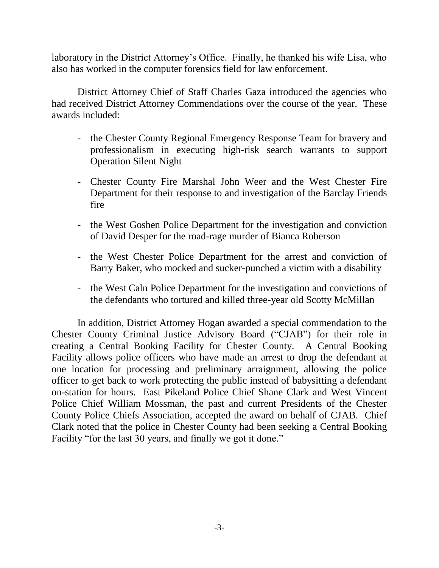laboratory in the District Attorney's Office. Finally, he thanked his wife Lisa, who also has worked in the computer forensics field for law enforcement.

District Attorney Chief of Staff Charles Gaza introduced the agencies who had received District Attorney Commendations over the course of the year. These awards included:

- the Chester County Regional Emergency Response Team for bravery and professionalism in executing high-risk search warrants to support Operation Silent Night
- Chester County Fire Marshal John Weer and the West Chester Fire Department for their response to and investigation of the Barclay Friends fire
- the West Goshen Police Department for the investigation and conviction of David Desper for the road-rage murder of Bianca Roberson
- the West Chester Police Department for the arrest and conviction of Barry Baker, who mocked and sucker-punched a victim with a disability
- the West Caln Police Department for the investigation and convictions of the defendants who tortured and killed three-year old Scotty McMillan

In addition, District Attorney Hogan awarded a special commendation to the Chester County Criminal Justice Advisory Board ("CJAB") for their role in creating a Central Booking Facility for Chester County. A Central Booking Facility allows police officers who have made an arrest to drop the defendant at one location for processing and preliminary arraignment, allowing the police officer to get back to work protecting the public instead of babysitting a defendant on-station for hours. East Pikeland Police Chief Shane Clark and West Vincent Police Chief William Mossman, the past and current Presidents of the Chester County Police Chiefs Association, accepted the award on behalf of CJAB. Chief Clark noted that the police in Chester County had been seeking a Central Booking Facility "for the last 30 years, and finally we got it done."